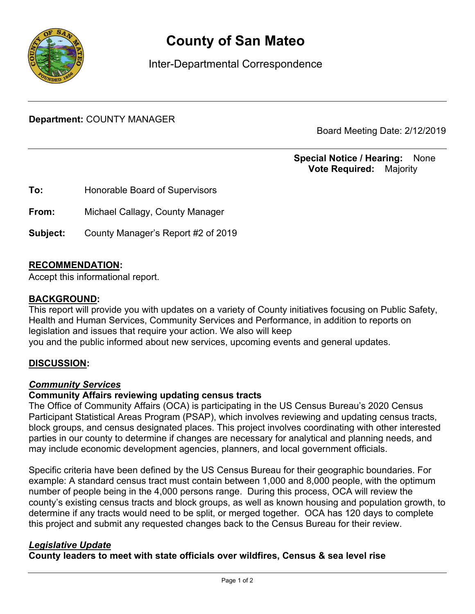

# **County of San Mateo**

Inter-Departmental Correspondence

**Department:** COUNTY MANAGER

Board Meeting Date: 2/12/2019

# **Special Notice / Hearing:** None\_\_ **Vote Required:** Majority

**To:** Honorable Board of Supervisors **From:** Michael Callagy, County Manager **Subject:** County Manager's Report #2 of 2019

## **RECOMMENDATION:**

Accept this informational report.

#### **BACKGROUND:**

This report will provide you with updates on a variety of County initiatives focusing on Public Safety, Health and Human Services, Community Services and Performance, in addition to reports on legislation and issues that require your action. We also will keep you and the public informed about new services, upcoming events and general updates.

## **DISCUSSION:**

#### *Community Services*

#### **Community Affairs reviewing updating census tracts**

The Office of Community Affairs (OCA) is participating in the US Census Bureau's 2020 Census Participant Statistical Areas Program (PSAP), which involves reviewing and updating census tracts, block groups, and census designated places. This project involves coordinating with other interested parties in our county to determine if changes are necessary for analytical and planning needs, and may include economic development agencies, planners, and local government officials.

Specific criteria have been defined by the US Census Bureau for their geographic boundaries. For example: A standard census tract must contain between 1,000 and 8,000 people, with the optimum number of people being in the 4,000 persons range. During this process, OCA will review the county's existing census tracts and block groups, as well as known housing and population growth, to determine if any tracts would need to be split, or merged together. OCA has 120 days to complete this project and submit any requested changes back to the Census Bureau for their review.

#### *Legislative Update*

## **County leaders to meet with state officials over wildfires, Census & sea level rise**